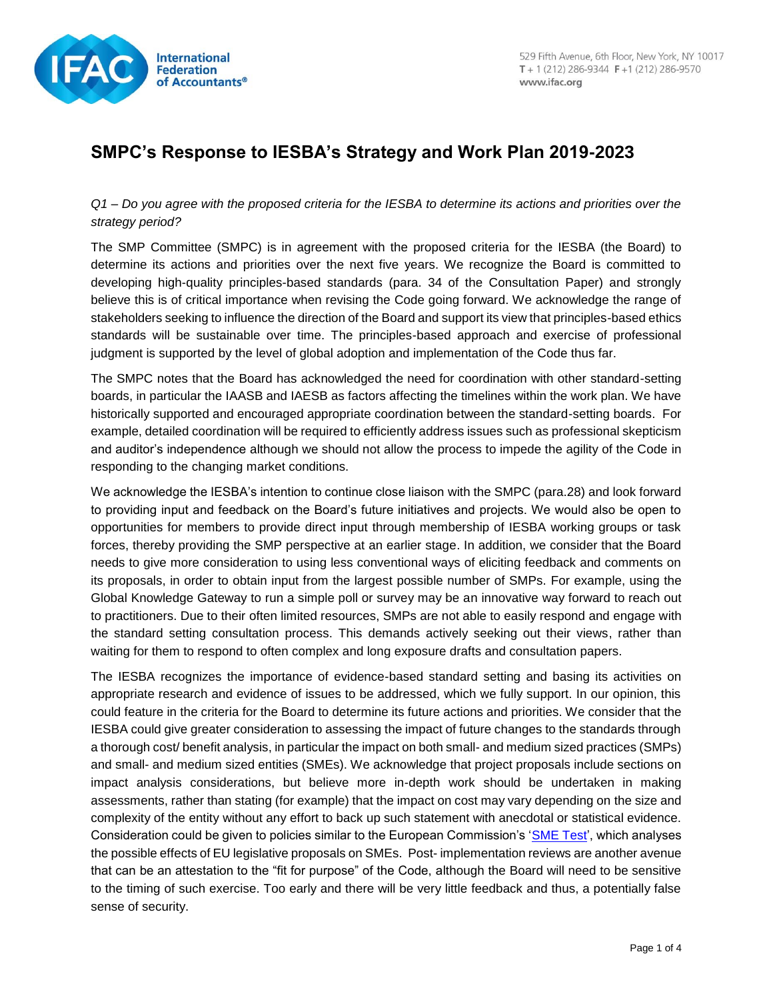

## **SMPC's Response to IESBA's Strategy and Work Plan 2019-2023**

*Q1 – Do you agree with the proposed criteria for the IESBA to determine its actions and priorities over the strategy period?*

The SMP Committee (SMPC) is in agreement with the proposed criteria for the IESBA (the Board) to determine its actions and priorities over the next five years. We recognize the Board is committed to developing high-quality principles-based standards (para. 34 of the Consultation Paper) and strongly believe this is of critical importance when revising the Code going forward. We acknowledge the range of stakeholders seeking to influence the direction of the Board and support its view that principles-based ethics standards will be sustainable over time. The principles-based approach and exercise of professional judgment is supported by the level of global adoption and implementation of the Code thus far.

The SMPC notes that the Board has acknowledged the need for coordination with other standard-setting boards, in particular the IAASB and IAESB as factors affecting the timelines within the work plan. We have historically supported and encouraged appropriate coordination between the standard-setting boards. For example, detailed coordination will be required to efficiently address issues such as professional skepticism and auditor's independence although we should not allow the process to impede the agility of the Code in responding to the changing market conditions.

We acknowledge the IESBA's intention to continue close liaison with the SMPC (para.28) and look forward to providing input and feedback on the Board's future initiatives and projects. We would also be open to opportunities for members to provide direct input through membership of IESBA working groups or task forces, thereby providing the SMP perspective at an earlier stage. In addition, we consider that the Board needs to give more consideration to using less conventional ways of eliciting feedback and comments on its proposals, in order to obtain input from the largest possible number of SMPs. For example, using the Global Knowledge Gateway to run a simple poll or survey may be an innovative way forward to reach out to practitioners. Due to their often limited resources, SMPs are not able to easily respond and engage with the standard setting consultation process. This demands actively seeking out their views, rather than waiting for them to respond to often complex and long exposure drafts and consultation papers.

The IESBA recognizes the importance of evidence-based standard setting and basing its activities on appropriate research and evidence of issues to be addressed, which we fully support. In our opinion, this could feature in the criteria for the Board to determine its future actions and priorities. We consider that the IESBA could give greater consideration to assessing the impact of future changes to the standards through a thorough cost/ benefit analysis, in particular the impact on both small- and medium sized practices (SMPs) and small- and medium sized entities (SMEs). We acknowledge that project proposals include sections on impact analysis considerations, but believe more in-depth work should be undertaken in making assessments, rather than stating (for example) that the impact on cost may vary depending on the size and complexity of the entity without any effort to back up such statement with anecdotal or statistical evidence. Consideration could be given to policies similar to the European Commission's ['SME Test'](https://ec.europa.eu/growth/smes/business-friendly-environment/small-business-act/sme-test_en), which analyses the possible effects of EU legislative proposals on SMEs. Post- implementation reviews are another avenue that can be an attestation to the "fit for purpose" of the Code, although the Board will need to be sensitive to the timing of such exercise. Too early and there will be very little feedback and thus, a potentially false sense of security.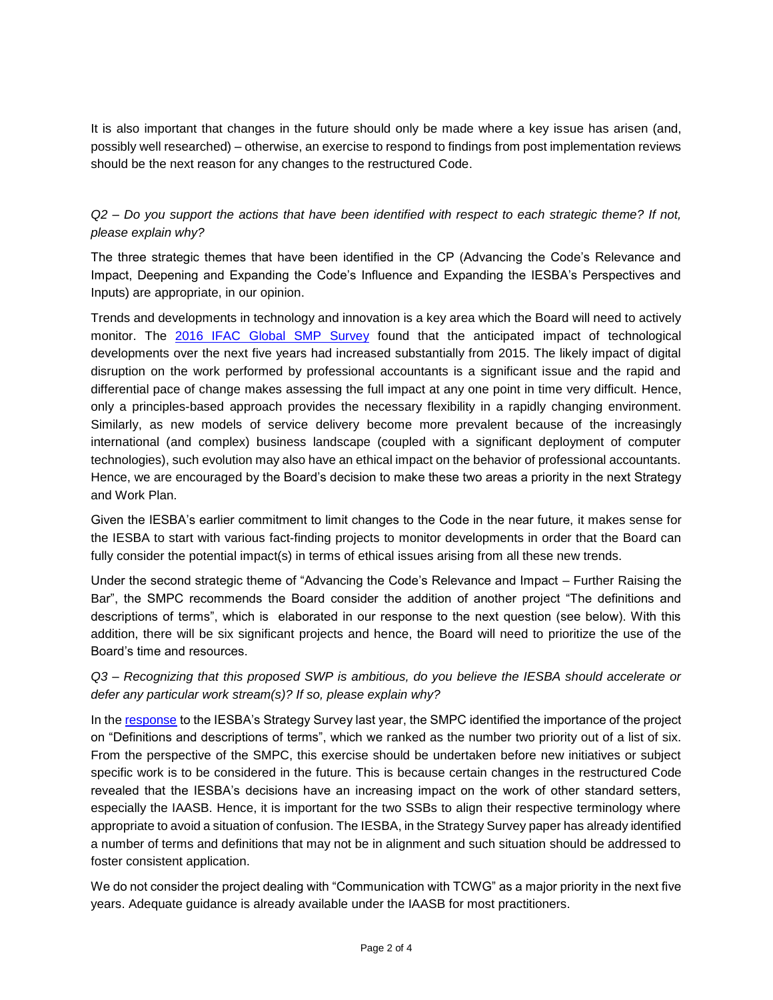It is also important that changes in the future should only be made where a key issue has arisen (and, possibly well researched) – otherwise, an exercise to respond to findings from post implementation reviews should be the next reason for any changes to the restructured Code.

## *Q2 – Do you support the actions that have been identified with respect to each strategic theme? If not, please explain why?*

The three strategic themes that have been identified in the CP (Advancing the Code's Relevance and Impact, Deepening and Expanding the Code's Influence and Expanding the IESBA's Perspectives and Inputs) are appropriate, in our opinion.

Trends and developments in technology and innovation is a key area which the Board will need to actively monitor. The [2016 IFAC Global SMP Survey](http://www.ifac.org/publications-resources/2016-ifac-global-smp-survey-report-summary) found that the anticipated impact of technological developments over the next five years had increased substantially from 2015. The likely impact of digital disruption on the work performed by professional accountants is a significant issue and the rapid and differential pace of change makes assessing the full impact at any one point in time very difficult. Hence, only a principles-based approach provides the necessary flexibility in a rapidly changing environment. Similarly, as new models of service delivery become more prevalent because of the increasingly international (and complex) business landscape (coupled with a significant deployment of computer technologies), such evolution may also have an ethical impact on the behavior of professional accountants. Hence, we are encouraged by the Board's decision to make these two areas a priority in the next Strategy and Work Plan.

Given the IESBA's earlier commitment to limit changes to the Code in the near future, it makes sense for the IESBA to start with various fact-finding projects to monitor developments in order that the Board can fully consider the potential impact(s) in terms of ethical issues arising from all these new trends.

Under the second strategic theme of "Advancing the Code's Relevance and Impact – Further Raising the Bar", the SMPC recommends the Board consider the addition of another project "The definitions and descriptions of terms", which is elaborated in our response to the next question (see below). With this addition, there will be six significant projects and hence, the Board will need to prioritize the use of the Board's time and resources.

*Q3 – Recognizing that this proposed SWP is ambitious, do you believe the IESBA should accelerate or defer any particular work stream(s)? If so, please explain why?*

In the [response](http://www.ifac.org/publications-resources/smp-committee-response-iesba-strategy-survey) to the IESBA's Strategy Survey last year, the SMPC identified the importance of the project on "Definitions and descriptions of terms", which we ranked as the number two priority out of a list of six. From the perspective of the SMPC, this exercise should be undertaken before new initiatives or subject specific work is to be considered in the future. This is because certain changes in the restructured Code revealed that the IESBA's decisions have an increasing impact on the work of other standard setters, especially the IAASB. Hence, it is important for the two SSBs to align their respective terminology where appropriate to avoid a situation of confusion. The IESBA, in the Strategy Survey paper has already identified a number of terms and definitions that may not be in alignment and such situation should be addressed to foster consistent application.

We do not consider the project dealing with "Communication with TCWG" as a major priority in the next five years. Adequate guidance is already available under the IAASB for most practitioners.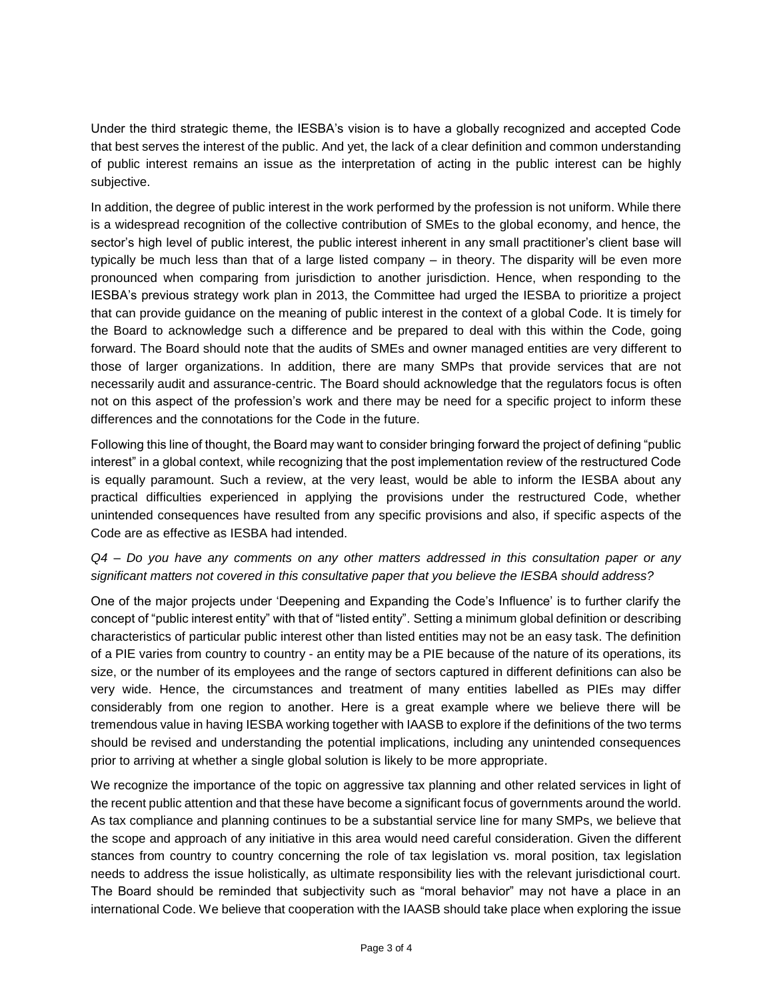Under the third strategic theme, the IESBA's vision is to have a globally recognized and accepted Code that best serves the interest of the public. And yet, the lack of a clear definition and common understanding of public interest remains an issue as the interpretation of acting in the public interest can be highly subjective.

In addition, the degree of public interest in the work performed by the profession is not uniform. While there is a widespread recognition of the collective contribution of SMEs to the global economy, and hence, the sector's high level of public interest, the public interest inherent in any small practitioner's client base will typically be much less than that of a large listed company – in theory. The disparity will be even more pronounced when comparing from jurisdiction to another jurisdiction. Hence, when responding to the IESBA's previous strategy work plan in 2013, the Committee had urged the IESBA to prioritize a project that can provide guidance on the meaning of public interest in the context of a global Code. It is timely for the Board to acknowledge such a difference and be prepared to deal with this within the Code, going forward. The Board should note that the audits of SMEs and owner managed entities are very different to those of larger organizations. In addition, there are many SMPs that provide services that are not necessarily audit and assurance-centric. The Board should acknowledge that the regulators focus is often not on this aspect of the profession's work and there may be need for a specific project to inform these differences and the connotations for the Code in the future.

Following this line of thought, the Board may want to consider bringing forward the project of defining "public interest" in a global context, while recognizing that the post implementation review of the restructured Code is equally paramount. Such a review, at the very least, would be able to inform the IESBA about any practical difficulties experienced in applying the provisions under the restructured Code, whether unintended consequences have resulted from any specific provisions and also, if specific aspects of the Code are as effective as IESBA had intended.

## *Q4 – Do you have any comments on any other matters addressed in this consultation paper or any significant matters not covered in this consultative paper that you believe the IESBA should address?*

One of the major projects under 'Deepening and Expanding the Code's Influence' is to further clarify the concept of "public interest entity" with that of "listed entity". Setting a minimum global definition or describing characteristics of particular public interest other than listed entities may not be an easy task. The definition of a PIE varies from country to country - an entity may be a PIE because of the nature of its operations, its size, or the number of its employees and the range of sectors captured in different definitions can also be very wide. Hence, the circumstances and treatment of many entities labelled as PIEs may differ considerably from one region to another. Here is a great example where we believe there will be tremendous value in having IESBA working together with IAASB to explore if the definitions of the two terms should be revised and understanding the potential implications, including any unintended consequences prior to arriving at whether a single global solution is likely to be more appropriate.

We recognize the importance of the topic on aggressive tax planning and other related services in light of the recent public attention and that these have become a significant focus of governments around the world. As tax compliance and planning continues to be a substantial service line for many SMPs, we believe that the scope and approach of any initiative in this area would need careful consideration. Given the different stances from country to country concerning the role of tax legislation vs. moral position, tax legislation needs to address the issue holistically, as ultimate responsibility lies with the relevant jurisdictional court. The Board should be reminded that subjectivity such as "moral behavior" may not have a place in an international Code. We believe that cooperation with the IAASB should take place when exploring the issue